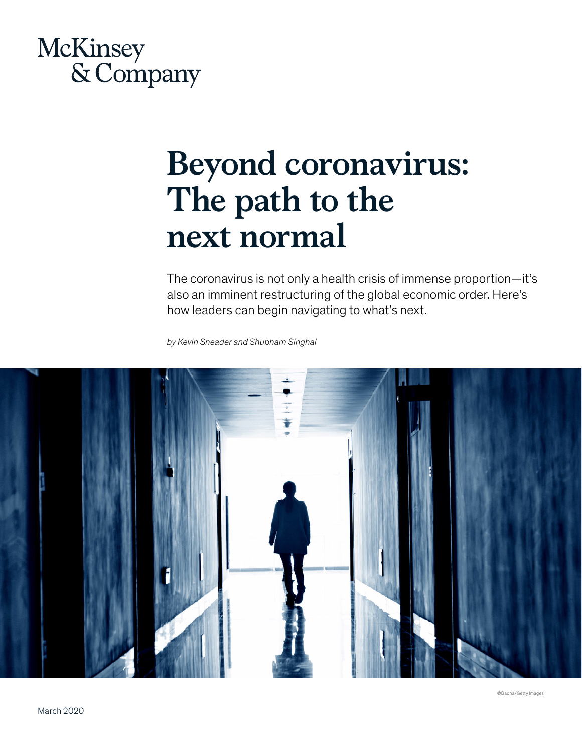## McKinsey & Company

# **Beyond coronavirus: The path to the next normal**

The coronavirus is not only a health crisis of immense proportion—it's also an imminent restructuring of the global economic order. Here's how leaders can begin navigating to what's next.

*by Kevin Sneader and Shubham Singhal*

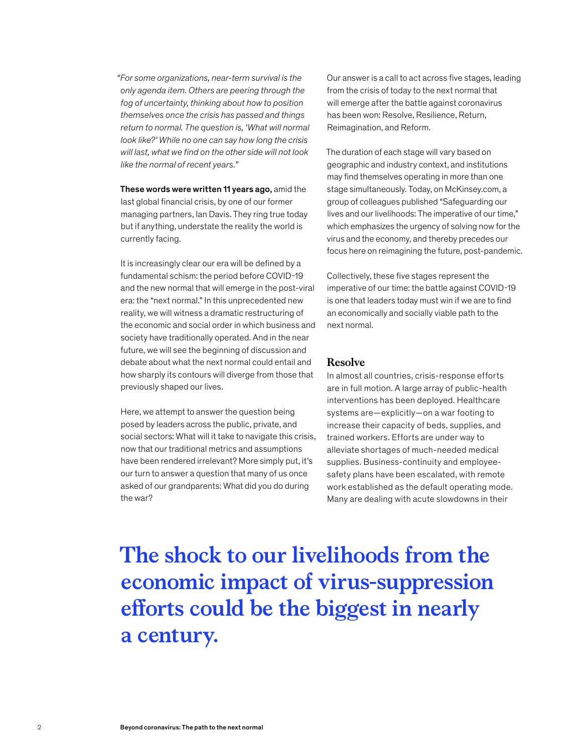*"For some organizations, near-term survival is the only agenda item. Others are peering through the fog of uncertainty, thinking about how to position themselves once the crisis has passed and things return to normal. The question is, 'What will normal look like?' While no one can say how long the crisis will last, what we find on the other side will not look like the normal of recent years."*

These words were written 11 years ago, amid the last global financial crisis, by one of our former managing partners, Ian Davis. They ring true today but if anything, understate the reality the world is currently facing.

It is increasingly clear our era will be defined by a fundamental schism: the period before COVID-19 and the new normal that will emerge in the post-viral era: the "next normal." In this unprecedented new reality, we will witness a dramatic restructuring of the economic and social order in which business and society have traditionally operated. And in the near future, we will see the beginning of discussion and debate about what the next normal could entail and how sharply its contours will diverge from those that previously shaped our lives.

Here, we attempt to answer the question being posed by leaders across the public, private, and social sectors: What will it take to navigate this crisis, now that our traditional metrics and assumptions have been rendered irrelevant? More simply put, it's our turn to answer a question that many of us once asked of our grandparents: What did you do during the war?

Our answer is a call to act across five stages, leading from the crisis of today to the next normal that will emerge after the battle against coronavirus has been won: Resolve, Resilience, Return, Reimagination, and Reform.

The duration of each stage will vary based on geographic and industry context, and institutions may find themselves operating in more than one stage simultaneously. Today, on McKinsey.com, a group of colleagues published "Safeguarding our lives and our livelihoods: The imperative of our time," which emphasizes the urgency of solving now for the virus and the economy, and thereby precedes our focus here on reimagining the future, post-pandemic.

Collectively, these five stages represent the imperative of our time: the battle against COVID-19 is one that leaders today must win if we are to find an economically and socially viable path to the next normal.

#### **Resolve**

In almost all countries, crisis-response efforts are in full motion. A large array of public-health interventions has been deployed. Healthcare systems are—explicitly—on a war footing to increase their capacity of beds, supplies, and trained workers. Efforts are under way to alleviate shortages of much-needed medical supplies. Business-continuity and employeesafety plans have been escalated, with remote work established as the default operating mode. Many are dealing with acute slowdowns in their

**The shock to our livelihoods from the economic impact of virus-suppression efforts could be the biggest in nearly a century.**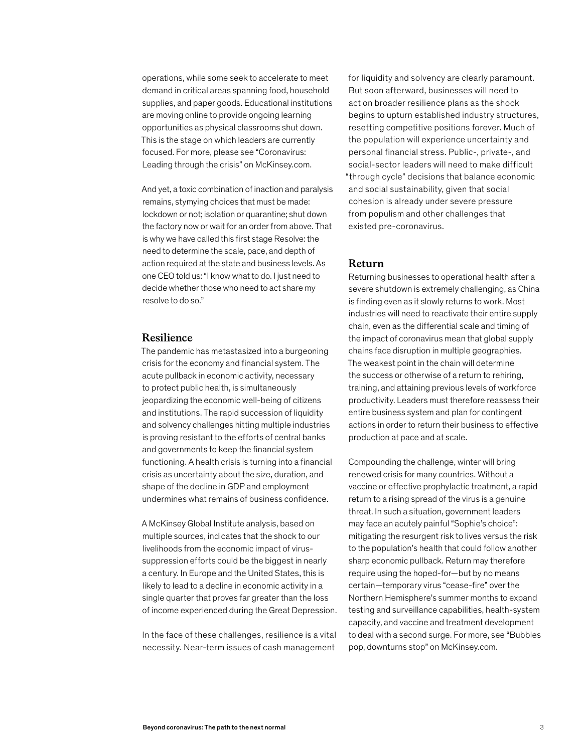operations, while some seek to accelerate to meet demand in critical areas spanning food, household supplies, and paper goods. Educational institutions are moving online to provide ongoing learning opportunities as physical classrooms shut down. This is the stage on which leaders are currently focused. For more, please see "Coronavirus: Leading through the crisis" on McKinsey.com.

And yet, a toxic combination of inaction and paralysis remains, stymying choices that must be made: lockdown or not; isolation or quarantine; shut down the factory now or wait for an order from above. That is why we have called this first stage Resolve: the need to determine the scale, pace, and depth of action required at the state and business levels. As one CEO told us: "I know what to do. I just need to decide whether those who need to act share my resolve to do so."

#### **Resilience**

The pandemic has metastasized into a burgeoning crisis for the economy and financial system. The acute pullback in economic activity, necessary to protect public health, is simultaneously jeopardizing the economic well-being of citizens and institutions. The rapid succession of liquidity and solvency challenges hitting multiple industries is proving resistant to the efforts of central banks and governments to keep the financial system functioning. A health crisis is turning into a financial crisis as uncertainty about the size, duration, and shape of the decline in GDP and employment undermines what remains of business confidence.

A McKinsey Global Institute analysis, based on multiple sources, indicates that the shock to our livelihoods from the economic impact of virussuppression efforts could be the biggest in nearly a century. In Europe and the United States, this is likely to lead to a decline in economic activity in a single quarter that proves far greater than the loss of income experienced during the Great Depression.

In the face of these challenges, resilience is a vital necessity. Near-term issues of cash management

for liquidity and solvency are clearly paramount. But soon afterward, businesses will need to act on broader resilience plans as the shock begins to upturn established industry structures, resetting competitive positions forever. Much of the population will experience uncertainty and personal financial stress. Public-, private-, and social-sector leaders will need to make difficult "through cycle" decisions that balance economic and social sustainability, given that social cohesion is already under severe pressure from populism and other challenges that existed pre-coronavirus.

#### **Return**

Returning businesses to operational health after a severe shutdown is extremely challenging, as China is finding even as it slowly returns to work. Most industries will need to reactivate their entire supply chain, even as the differential scale and timing of the impact of coronavirus mean that global supply chains face disruption in multiple geographies. The weakest point in the chain will determine the success or otherwise of a return to rehiring, training, and attaining previous levels of workforce productivity. Leaders must therefore reassess their entire business system and plan for contingent actions in order to return their business to effective production at pace and at scale.

Compounding the challenge, winter will bring renewed crisis for many countries. Without a vaccine or effective prophylactic treatment, a rapid return to a rising spread of the virus is a genuine threat. In such a situation, government leaders may face an acutely painful "Sophie's choice": mitigating the resurgent risk to lives versus the risk to the population's health that could follow another sharp economic pullback. Return may therefore require using the hoped-for—but by no means certain—temporary virus "cease-fire" over the Northern Hemisphere's summer months to expand testing and surveillance capabilities, health-system capacity, and vaccine and treatment development to deal with a second surge. For more, see "Bubbles pop, downturns stop" on McKinsey.com.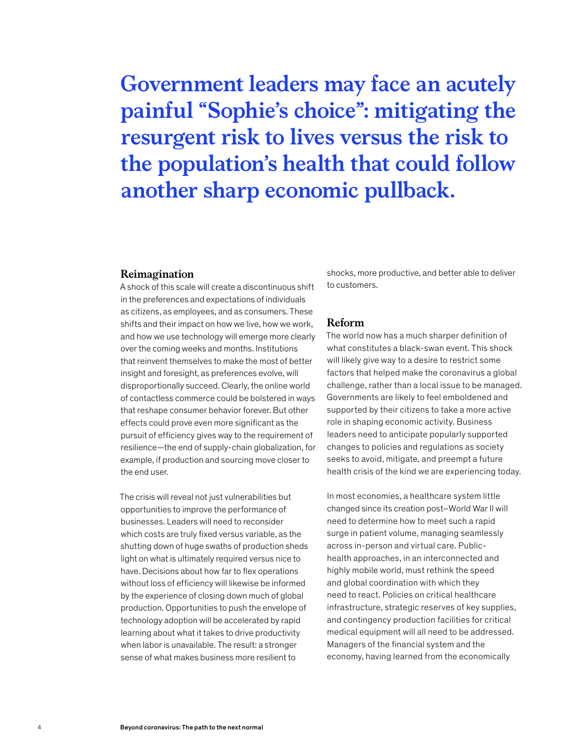### **Government leaders may face an acutely painful "Sophie's choice": mitigating the resurgent risk to lives versus the risk to the population's health that could follow another sharp economic pullback.**

#### **Reimagination**

A shock of this scale will create a discontinuous shift in the preferences and expectations of individuals as citizens, as employees, and as consumers. These shifts and their impact on how we live, how we work, and how we use technology will emerge more clearly over the coming weeks and months. Institutions that reinvent themselves to make the most of better insight and foresight, as preferences evolve, will disproportionally succeed. Clearly, the online world of contactless commerce could be bolstered in ways that reshape consumer behavior forever. But other effects could prove even more significant as the pursuit of efficiency gives way to the requirement of resilience—the end of supply-chain globalization, for example, if production and sourcing move closer to the end user.

The crisis will reveal not just vulnerabilities but opportunities to improve the performance of businesses. Leaders will need to reconsider which costs are truly fixed versus variable, as the shutting down of huge swaths of production sheds light on what is ultimately required versus nice to have. Decisions about how far to flex operations without loss of efficiency will likewise be informed by the experience of closing down much of global production. Opportunities to push the envelope of technology adoption will be accelerated by rapid learning about what it takes to drive productivity when labor is unavailable. The result: a stronger sense of what makes business more resilient to

shocks, more productive, and better able to deliver to customers.

#### **Reform**

The world now has a much sharper definition of what constitutes a black-swan event. This shock will likely give way to a desire to restrict some factors that helped make the coronavirus a global challenge, rather than a local issue to be managed. Governments are likely to feel emboldened and supported by their citizens to take a more active role in shaping economic activity. Business leaders need to anticipate popularly supported changes to policies and regulations as society seeks to avoid, mitigate, and preempt a future health crisis of the kind we are experiencing today.

In most economies, a healthcare system little changed since its creation post–World War II will need to determine how to meet such a rapid surge in patient volume, managing seamlessly across in-person and virtual care. Publichealth approaches, in an interconnected and highly mobile world, must rethink the speed and global coordination with which they need to react. Policies on critical healthcare infrastructure, strategic reserves of key supplies, and contingency production facilities for critical medical equipment will all need to be addressed. Managers of the financial system and the economy, having learned from the economically